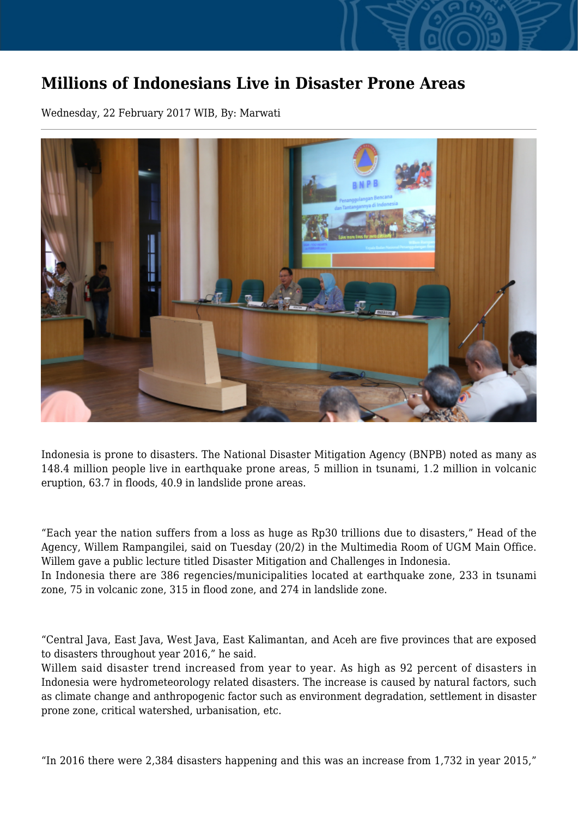## **Millions of Indonesians Live in Disaster Prone Areas**

Wednesday, 22 February 2017 WIB, By: Marwati



Indonesia is prone to disasters. The National Disaster Mitigation Agency (BNPB) noted as many as 148.4 million people live in earthquake prone areas, 5 million in tsunami, 1.2 million in volcanic eruption, 63.7 in floods, 40.9 in landslide prone areas.

"Each year the nation suffers from a loss as huge as Rp30 trillions due to disasters," Head of the Agency, Willem Rampangilei, said on Tuesday (20/2) in the Multimedia Room of UGM Main Office. Willem gave a public lecture titled Disaster Mitigation and Challenges in Indonesia.

In Indonesia there are 386 regencies/municipalities located at earthquake zone, 233 in tsunami zone, 75 in volcanic zone, 315 in flood zone, and 274 in landslide zone.

"Central Java, East Java, West Java, East Kalimantan, and Aceh are five provinces that are exposed to disasters throughout year 2016," he said.

Willem said disaster trend increased from year to year. As high as 92 percent of disasters in Indonesia were hydrometeorology related disasters. The increase is caused by natural factors, such as climate change and anthropogenic factor such as environment degradation, settlement in disaster prone zone, critical watershed, urbanisation, etc.

"In 2016 there were 2,384 disasters happening and this was an increase from 1,732 in year 2015,"